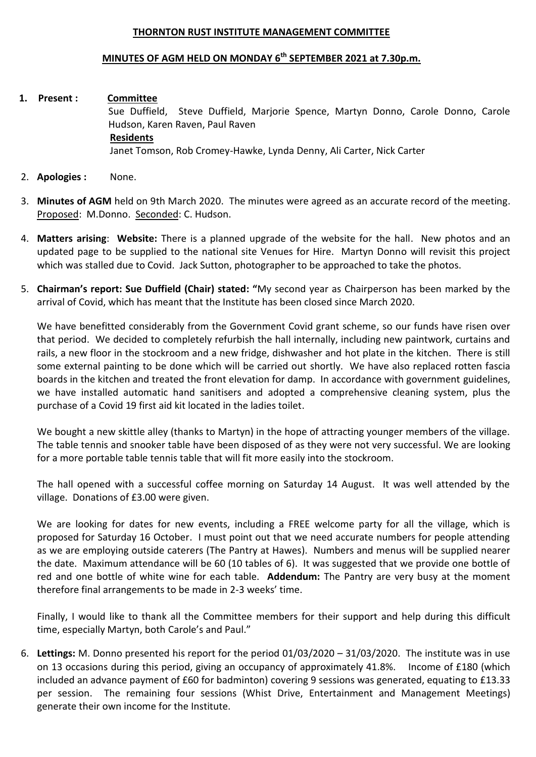## **THORNTON RUST INSTITUTE MANAGEMENT COMMITTEE**

## **MINUTES OF AGM HELD ON MONDAY 6 th SEPTEMBER 2021 at 7.30p.m.**

- **1. Present : Committee** Sue Duffield, Steve Duffield, Marjorie Spence, Martyn Donno, Carole Donno, Carole Hudson, Karen Raven, Paul Raven **Residents** Janet Tomson, Rob Cromey-Hawke, Lynda Denny, Ali Carter, Nick Carter
- 2. **Apologies :** None.
- 3. **Minutes of AGM** held on 9th March 2020. The minutes were agreed as an accurate record of the meeting. Proposed: M.Donno. Seconded: C. Hudson.
- 4. **Matters arising**: **Website:** There is a planned upgrade of the website for the hall. New photos and an updated page to be supplied to the national site Venues for Hire. Martyn Donno will revisit this project which was stalled due to Covid. Jack Sutton, photographer to be approached to take the photos.
- 5. **Chairman's report: Sue Duffield (Chair) stated: "**My second year as Chairperson has been marked by the arrival of Covid, which has meant that the Institute has been closed since March 2020.

We have benefitted considerably from the Government Covid grant scheme, so our funds have risen over that period. We decided to completely refurbish the hall internally, including new paintwork, curtains and rails, a new floor in the stockroom and a new fridge, dishwasher and hot plate in the kitchen. There is still some external painting to be done which will be carried out shortly. We have also replaced rotten fascia boards in the kitchen and treated the front elevation for damp. In accordance with government guidelines, we have installed automatic hand sanitisers and adopted a comprehensive cleaning system, plus the purchase of a Covid 19 first aid kit located in the ladies toilet.

We bought a new skittle alley (thanks to Martyn) in the hope of attracting younger members of the village. The table tennis and snooker table have been disposed of as they were not very successful. We are looking for a more portable table tennis table that will fit more easily into the stockroom.

The hall opened with a successful coffee morning on Saturday 14 August. It was well attended by the village. Donations of £3.00 were given.

We are looking for dates for new events, including a FREE welcome party for all the village, which is proposed for Saturday 16 October. I must point out that we need accurate numbers for people attending as we are employing outside caterers (The Pantry at Hawes). Numbers and menus will be supplied nearer the date. Maximum attendance will be 60 (10 tables of 6). It was suggested that we provide one bottle of red and one bottle of white wine for each table. **Addendum:** The Pantry are very busy at the moment therefore final arrangements to be made in 2-3 weeks' time.

Finally, I would like to thank all the Committee members for their support and help during this difficult time, especially Martyn, both Carole's and Paul."

6. **Lettings:** M. Donno presented his report for the period 01/03/2020 – 31/03/2020. The institute was in use on 13 occasions during this period, giving an occupancy of approximately 41.8%. Income of £180 (which included an advance payment of £60 for badminton) covering 9 sessions was generated, equating to £13.33 per session. The remaining four sessions (Whist Drive, Entertainment and Management Meetings) generate their own income for the Institute.